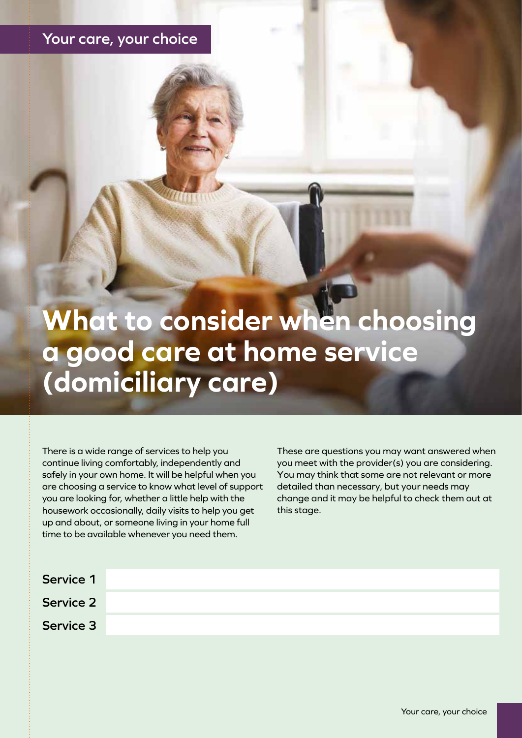### **Your care, your choice**

# **What to consider when choosing a good care at home service (domiciliary care)**

There is a wide range of services to help you continue living comfortably, independently and safely in your own home. It will be helpful when you are choosing a service to know what level of support you are looking for, whether a little help with the housework occasionally, daily visits to help you get up and about, or someone living in your home full time to be available whenever you need them.

These are questions you may want answered when you meet with the provider(s) you are considering. You may think that some are not relevant or more detailed than necessary, but your needs may change and it may be helpful to check them out at this stage.

| Service 1 |  |
|-----------|--|
| Service 2 |  |
| Service 3 |  |